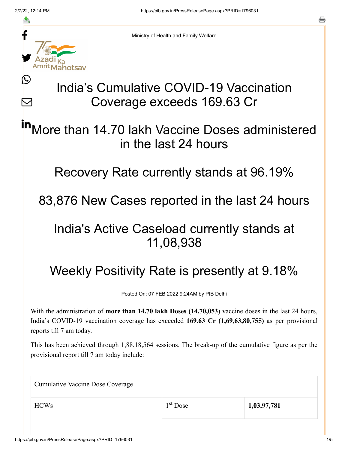≛

Ŀ

 $\bm{\nabla}$ 

Ministry of Health and Family Welfare

# India's Cumulative COVID-19 Vaccination Coverage exceeds 169.63 Cr

More than 14.70 lakh Vaccine Doses administered in the last 24 hours in

Recovery Rate currently stands at 96.19%

83,876 New Cases reported in the last 24 hours

### India's Active Caseload currently stands at 11,08,938

## Weekly Positivity Rate is presently at 9.18%

Posted On: 07 FEB 2022 9:24AM by PIB Delhi

With the administration of **more than 14.70 lakh Doses (14,70,053)** vaccine doses in the last 24 hours, India's COVID-19 vaccination coverage has exceeded **169.63 Cr (1,69,63,80,755)** as per provisional reports till 7 am today.

This has been achieved through 1,88,18,564 sessions. The break-up of the cumulative figure as per the provisional report till 7 am today include:

Cumulative Vaccine Dose Coverage

HCWs 1,03,97,781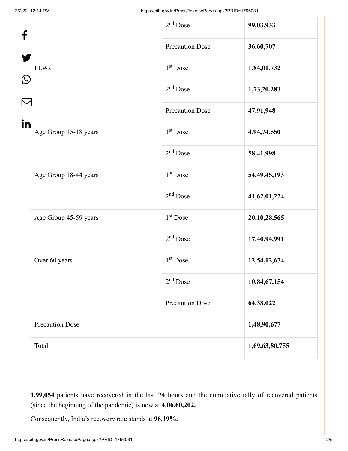| f<br>$\mathbf{\Omega}$<br>in |                        | $2nd$ Dose             | 99,03,933       |
|------------------------------|------------------------|------------------------|-----------------|
|                              |                        | <b>Precaution Dose</b> | 36,60,707       |
|                              | <b>FLWs</b>            | $1st$ Dose             | 1,84,01,732     |
|                              |                        | $2nd$ Dose             | 1,73,20,283     |
|                              |                        | <b>Precaution Dose</b> | 47,91,948       |
|                              | Age Group 15-18 years  | 1 <sup>st</sup> Dose   | 4,94,74,550     |
|                              |                        | $2nd$ Dose             | 58,41,998       |
|                              | Age Group 18-44 years  | 1 <sup>st</sup> Dose   | 54, 49, 45, 193 |
|                              |                        | $2nd$ Dose             | 41,62,01,224    |
|                              | Age Group 45-59 years  | $1st$ Dose             | 20, 10, 28, 565 |
|                              |                        | $2nd$ Dose             | 17,40,94,991    |
|                              | Over 60 years          | 1 <sup>st</sup> Dose   | 12,54,12,674    |
|                              |                        | $2nd$ Dose             | 10,84,67,154    |
|                              |                        | <b>Precaution Dose</b> | 64,38,022       |
|                              | <b>Precaution Dose</b> |                        | 1,48,90,677     |
|                              | Total                  |                        | 1,69,63,80,755  |

**1,99,054** patients have recovered in the last 24 hours and the cumulative tally of recovered patients (since the beginning of the pandemic) is now at **4,06,60,202.**

Consequently, India's recovery rate stands at **96.19%.**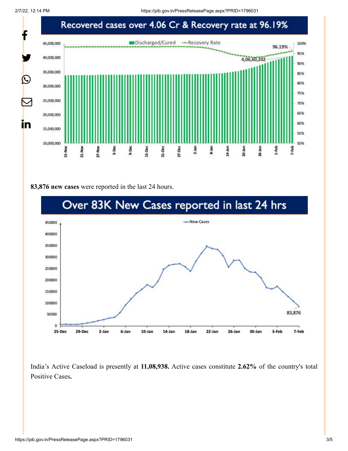

#### **83,876 new cases** were reported in the last 24 hours.



India's Active Caseload is presently at **11,08,938.** Active cases constitute **2.62%** of the country's total Positive Cases**.**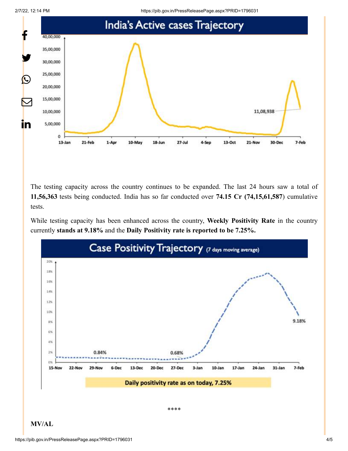2/7/22, 12:14 PM https://pib.gov.in/PressReleasePage.aspx?PRID=1796031



The testing capacity across the country continues to be expanded. The last 24 hours saw a total of **11,56,363** tests being conducted. India has so far conducted over **74.15 Cr (74,15,61,587**) cumulative tests.

While testing capacity has been enhanced across the country, **Weekly Positivity Rate** in the country currently **stands at 9.18%** and the **Daily Positivity rate is reported to be 7.25%.**